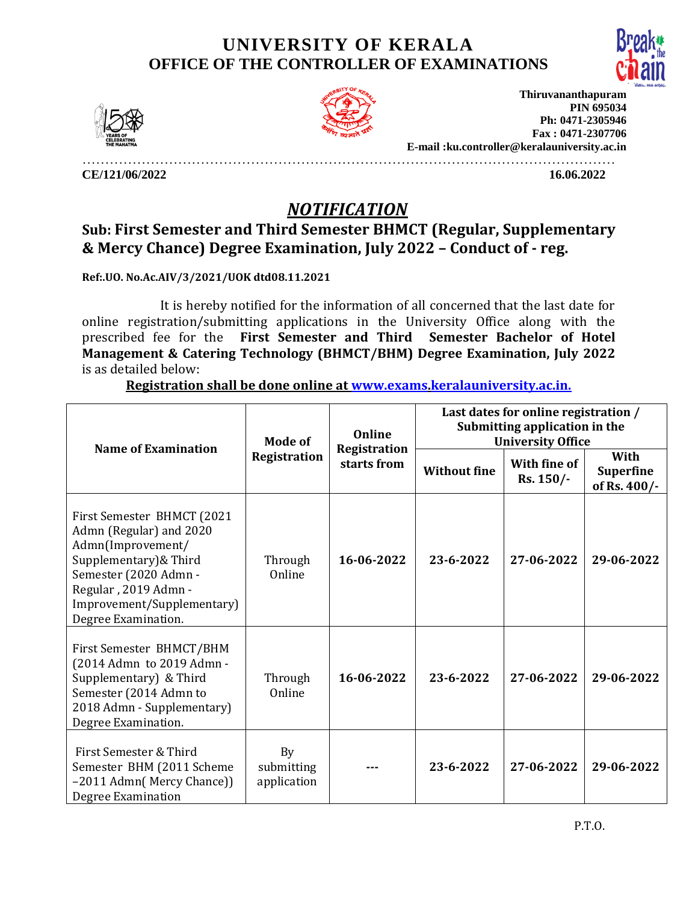## **UNIVERSITY OF KERALA OFFICE OF THE CONTROLLER OF EXAMINATIONS**





**Thiruvananthapuram PIN 695034 Ph: 0471-2305946 Fax : 0471-2307706 E-mail :ku.controller@keralauniversity.ac.in**

………………………………………………………………………………………………………

**CE/121/06/2022 16.06.2022** 

## *NOTIFICATION*

## **Sub: First Semester and Third Semester BHMCT (Regular, Supplementary & Mercy Chance) Degree Examination, July 2022 – Conduct of - reg.**

**Ref:.UO. No.Ac.AIV/3/2021/UOK dtd08.11.2021**

 It is hereby notified for the information of all concerned that the last date for online registration/submitting applications in the University Office along with the prescribed fee for the **First Semester and Third Semester Bachelor of Hotel Management & Catering Technology (BHMCT/BHM) Degree Examination, July 2022** is as detailed below:

**Registration shall be done online at [www.exams.](http://www.exams/)keralauniversity.ac.in.**

| <b>Name of Examination</b>                                                                                                                                                                                 | Mode of<br>Registration         | Online<br>Registration<br>starts from | Last dates for online registration /<br>Submitting application in the<br><b>University Office</b> |                           |                                          |
|------------------------------------------------------------------------------------------------------------------------------------------------------------------------------------------------------------|---------------------------------|---------------------------------------|---------------------------------------------------------------------------------------------------|---------------------------|------------------------------------------|
|                                                                                                                                                                                                            |                                 |                                       | <b>Without fine</b>                                                                               | With fine of<br>Rs. 150/- | With<br><b>Superfine</b><br>of Rs. 400/- |
| First Semester BHMCT (2021<br>Admn (Regular) and 2020<br>Admn(Improvement/<br>Supplementary) & Third<br>Semester (2020 Admn -<br>Regular, 2019 Admn -<br>Improvement/Supplementary)<br>Degree Examination. | Through<br>Online               | 16-06-2022                            | 23-6-2022                                                                                         | 27-06-2022                | 29-06-2022                               |
| First Semester BHMCT/BHM<br>(2014 Admn to 2019 Admn -<br>Supplementary) & Third<br>Semester (2014 Admn to<br>2018 Admn - Supplementary)<br>Degree Examination.                                             | Through<br>Online               | 16-06-2022                            | 23-6-2022                                                                                         | 27-06-2022                | 29-06-2022                               |
| First Semester & Third<br>Semester BHM (2011 Scheme<br>-2011 Admn( Mercy Chance))<br>Degree Examination                                                                                                    | By<br>submitting<br>application |                                       | 23-6-2022                                                                                         | 27-06-2022                | 29-06-2022                               |